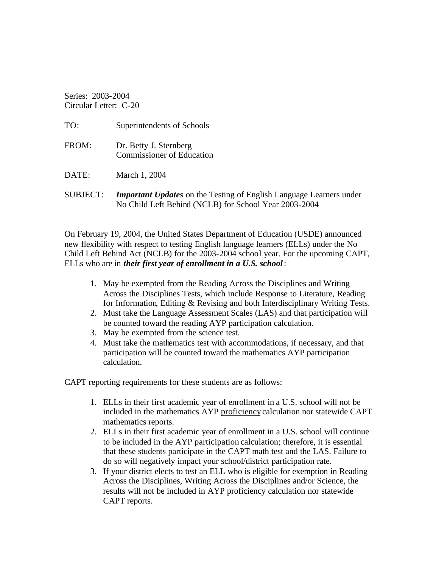Series: 2003-2004 Circular Letter: C-20

| TO:             | Superintendents of Schools                                                                                                          |
|-----------------|-------------------------------------------------------------------------------------------------------------------------------------|
| FROM:           | Dr. Betty J. Sternberg<br><b>Commissioner of Education</b>                                                                          |
| DATE:           | March 1, 2004                                                                                                                       |
| <b>SUBJECT:</b> | <b>Important Updates</b> on the Testing of English Language Learners under<br>No Child Left Behind (NCLB) for School Year 2003-2004 |

On February 19, 2004, the United States Department of Education (USDE) announced new flexibility with respect to testing English language learners (ELLs) under the No Child Left Behind Act (NCLB) for the 2003-2004 school year. For the upcoming CAPT, ELLs who are in *their first year of enrollment in a U.S. school* :

- 1. May be exempted from the Reading Across the Disciplines and Writing Across the Disciplines Tests, which include Response to Literature, Reading for Information, Editing & Revising and both Interdisciplinary Writing Tests.
- 2. Must take the Language Assessment Scales (LAS) and that participation will be counted toward the reading AYP participation calculation.
- 3. May be exempted from the science test.
- 4. Must take the mathematics test with accommodations, if necessary, and that participation will be counted toward the mathematics AYP participation calculation.

CAPT reporting requirements for these students are as follows:

- 1. ELLs in their first academic year of enrollment in a U.S. school will not be included in the mathematics AYP proficiency calculation nor statewide CAPT mathematics reports.
- 2. ELLs in their first academic year of enrollment in a U.S. school will continue to be included in the AYP participation calculation; therefore, it is essential that these students participate in the CAPT math test and the LAS. Failure to do so will negatively impact your school/district participation rate.
- 3. If your district elects to test an ELL who is eligible for exemption in Reading Across the Disciplines, Writing Across the Disciplines and/or Science, the results will not be included in AYP proficiency calculation nor statewide CAPT reports.